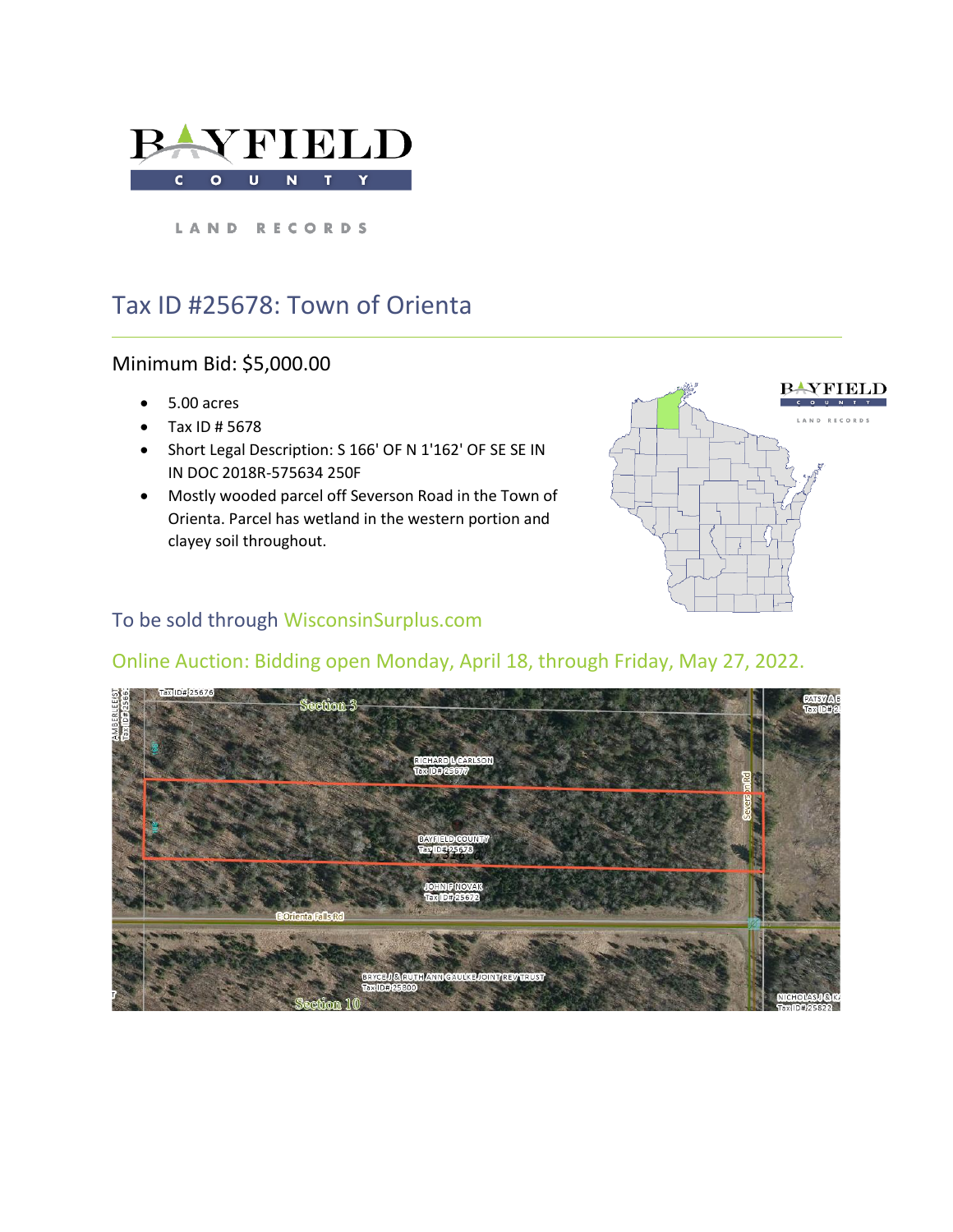

LAND RECORDS

## Tax ID #25678: Town of Orienta

#### Minimum Bid: \$5,000.00

- 5.00 acres
- Tax ID # 5678
- Short Legal Description: S 166' OF N 1'162' OF SE SE IN IN DOC 2018R-575634 250F
- Mostly wooded parcel off Severson Road in the Town of Orienta. Parcel has wetland in the western portion and clayey soil throughout.



### To be sold through WisconsinSurplus.com

# Online Auction: Bidding open Monday, April 18, through Friday, May 27, 2022.

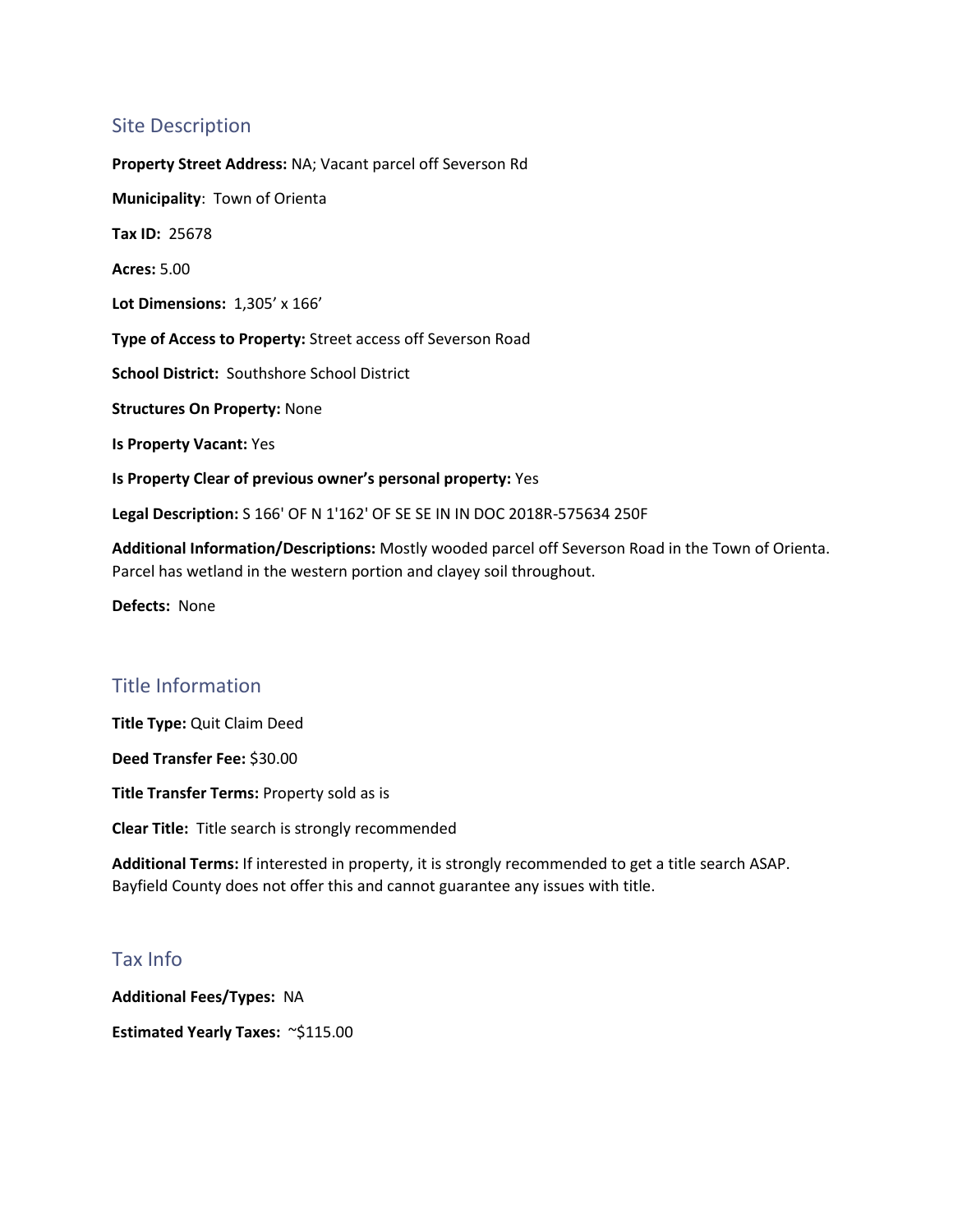#### Site Description

**Property Street Address:** NA; Vacant parcel off Severson Rd **Municipality**: Town of Orienta **Tax ID:** 25678 **Acres:** 5.00 **Lot Dimensions:** 1,305' x 166' **Type of Access to Property:** Street access off Severson Road **School District:** Southshore School District **Structures On Property:** None **Is Property Vacant:** Yes **Is Property Clear of previous owner's personal property:** Yes **Legal Description:** S 166' OF N 1'162' OF SE SE IN IN DOC 2018R-575634 250F

**Additional Information/Descriptions:** Mostly wooded parcel off Severson Road in the Town of Orienta. Parcel has wetland in the western portion and clayey soil throughout.

**Defects:** None

#### Title Information

**Title Type:** Quit Claim Deed

**Deed Transfer Fee:** \$30.00

**Title Transfer Terms:** Property sold as is

**Clear Title:** Title search is strongly recommended

**Additional Terms:** If interested in property, it is strongly recommended to get a title search ASAP. Bayfield County does not offer this and cannot guarantee any issues with title.

#### Tax Info

**Additional Fees/Types:** NA **Estimated Yearly Taxes:** ~\$115.00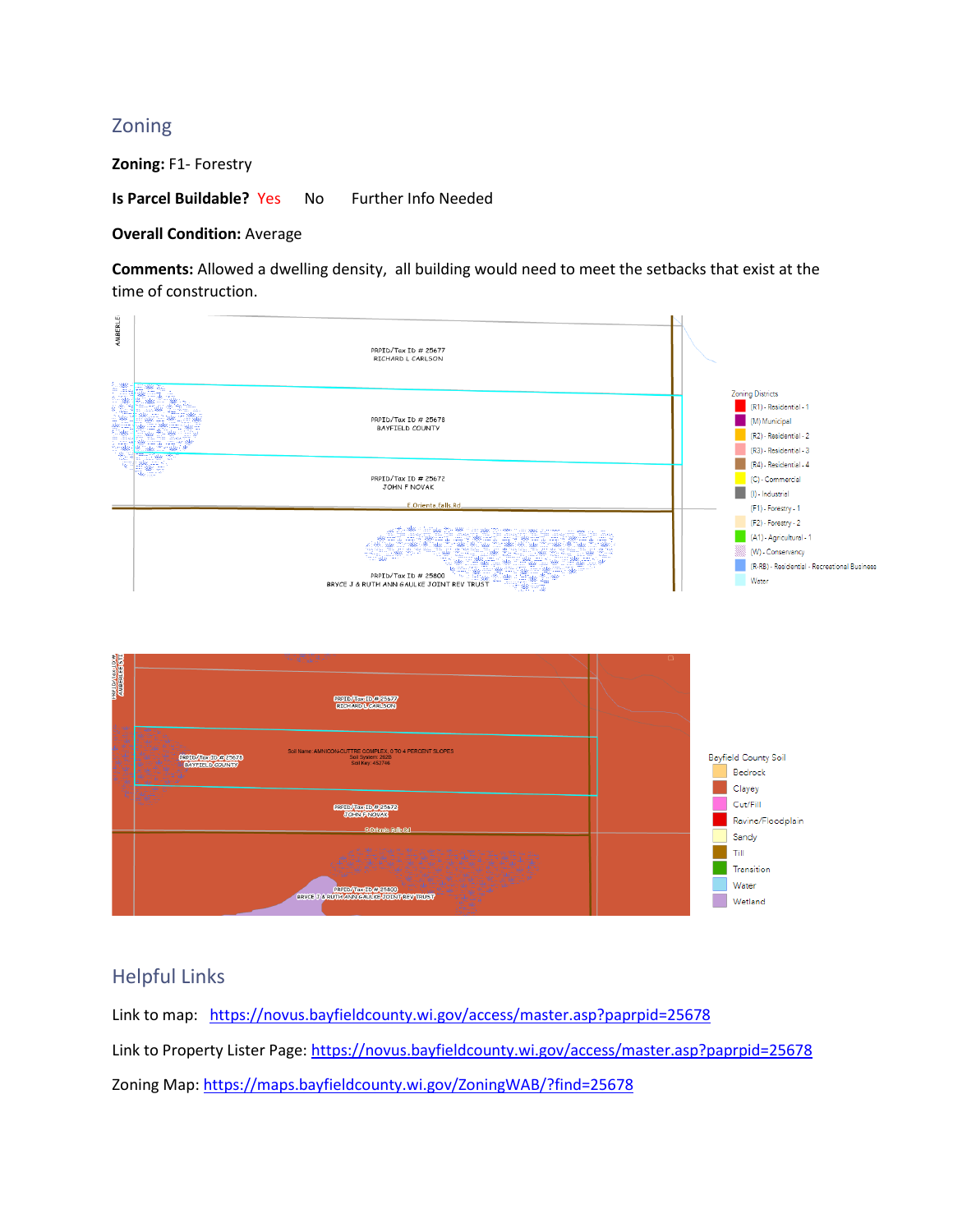#### Zoning

**Zoning:** F1- Forestry

**Is Parcel Buildable?** Yes No Further Info Needed

#### **Overall Condition: Average**

**Comments:** Allowed a dwelling density, all building would need to meet the setbacks that exist at the time of construction.



#### Helpful Links

Link to map: <https://novus.bayfieldcounty.wi.gov/access/master.asp?paprpid=25678> Link to Property Lister Page:<https://novus.bayfieldcounty.wi.gov/access/master.asp?paprpid=25678> Zoning Map: <https://maps.bayfieldcounty.wi.gov/ZoningWAB/?find=25678>